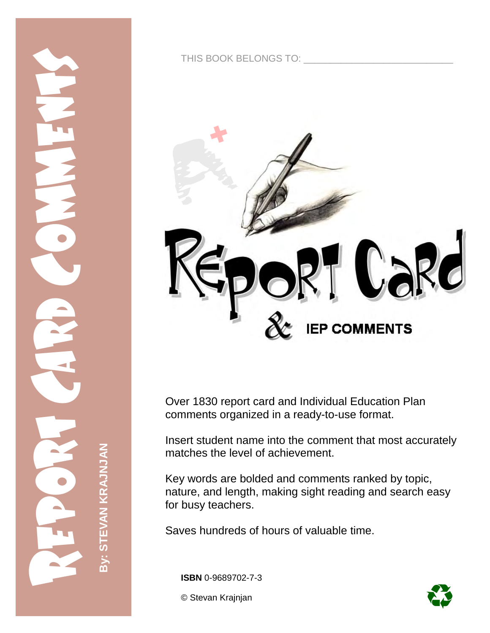

THIS BOOK BELONGS TO:



Over 1830 report card and Individual Education Plan comments organized in a ready-to-use format.

Insert student name into the comment that most accurately matches the level of achievement.

Key words are bolded and comments ranked by topic, nature, and length, making sight reading and search easy for busy teachers.

Saves hundreds of hours of valuable time.

**ISBN** 0-9689702-7-3

© Stevan Krajnjan

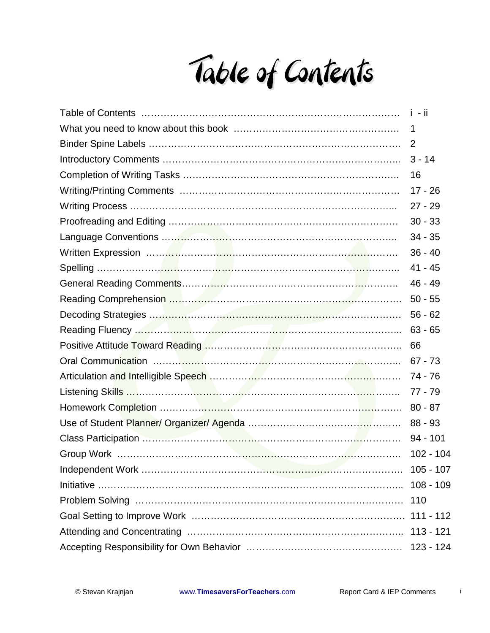Table of Contents

| Table of Contents ……………………………………………………………………………… i - ii                                                                  |             |
|--------------------------------------------------------------------------------------------------------------------------|-------------|
|                                                                                                                          | 1           |
|                                                                                                                          | 2           |
|                                                                                                                          | $3 - 14$    |
|                                                                                                                          | 16          |
|                                                                                                                          | $17 - 26$   |
|                                                                                                                          | $27 - 29$   |
|                                                                                                                          | $30 - 33$   |
|                                                                                                                          | $34 - 35$   |
|                                                                                                                          | $36 - 40$   |
|                                                                                                                          | $41 - 45$   |
|                                                                                                                          | 46 - 49     |
|                                                                                                                          | $50 - 55$   |
|                                                                                                                          | $56 - 62$   |
| Reading Fluency <b>William Committee Committee Committee</b> Committee Committee Committee Committee Committee Committee | $63 - 65$   |
|                                                                                                                          | 66          |
|                                                                                                                          | $67 - 73$   |
|                                                                                                                          | 74 - 76     |
|                                                                                                                          | $77 - 79$   |
|                                                                                                                          | $80 - 87$   |
|                                                                                                                          | $88 - 93$   |
|                                                                                                                          | $94 - 101$  |
|                                                                                                                          | $102 - 104$ |
|                                                                                                                          | $105 - 107$ |
|                                                                                                                          | $108 - 109$ |
|                                                                                                                          | 110         |
|                                                                                                                          | 111 - 112   |
|                                                                                                                          | $113 - 121$ |
|                                                                                                                          | $123 - 124$ |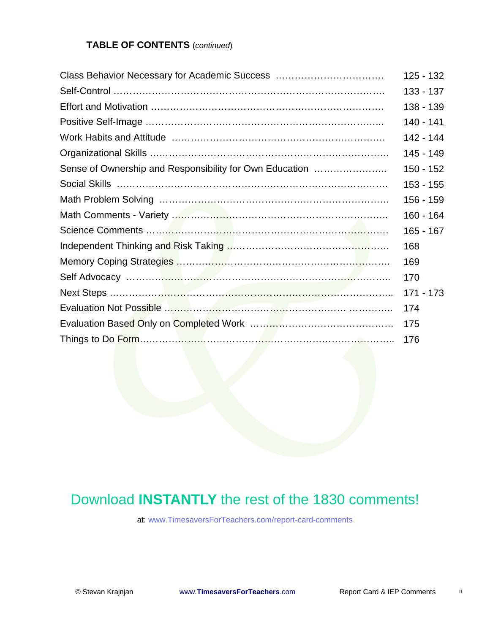## **TABLE OF CONTENTS** (*continued*)

|                                                                                                                       | $125 - 132$ |
|-----------------------------------------------------------------------------------------------------------------------|-------------|
|                                                                                                                       | $133 - 137$ |
|                                                                                                                       | 138 - 139   |
|                                                                                                                       | 140 - 141   |
|                                                                                                                       | 142 - 144   |
|                                                                                                                       | 145 - 149   |
| Sense of Ownership and Responsibility for Own Education                                                               | $150 - 152$ |
|                                                                                                                       | $153 - 155$ |
|                                                                                                                       | 156 - 159   |
|                                                                                                                       | 160 - 164   |
|                                                                                                                       | $165 - 167$ |
|                                                                                                                       | 168         |
|                                                                                                                       | 169         |
|                                                                                                                       | 170         |
|                                                                                                                       | 171 - 173   |
| Evaluation Not Possible <b>Manual Manual Community</b> and Community and Community and Community and Community and Co | 174         |
|                                                                                                                       | 175         |
| Things to Do Form………… <mark>………</mark> ……………… <mark>……</mark> ……………………………………… 176                                     |             |

## Download **INSTANTLY** the rest of the 1830 comments!

at: www.TimesaversForTeachers.com/report-card-comments